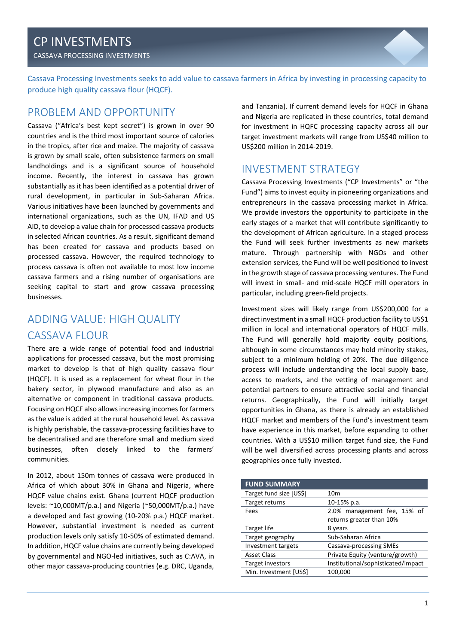CASSAVA PROCESSING INVESTMENTS

Cassava Processing Investments seeks to add value to cassava farmers in Africa by investing in processing capacity to produce high quality cassava flour (HQCF).

## PROBLEM AND OPPORTUNITY

Cassava ("Africa's best kept secret") is grown in over 90 countries and is the third most important source of calories in the tropics, after rice and maize. The majority of cassava is grown by small scale, often subsistence farmers on small landholdings and is a significant source of household income. Recently, the interest in cassava has grown substantially as it has been identified as a potential driver of rural development, in particular in Sub-Saharan Africa. Various initiatives have been launched by governments and international organizations, such as the UN, IFAD and US AID, to develop a value chain for processed cassava products in selected African countries. As a result, significant demand has been created for cassava and products based on processed cassava. However, the required technology to process cassava is often not available to most low income cassava farmers and a rising number of organisations are seeking capital to start and grow cassava processing businesses.

# ADDING VALUE: HIGH QUALITY CASSAVA FLOUR

There are a wide range of potential food and industrial applications for processed cassava, but the most promising market to develop is that of high quality cassava flour (HQCF). It is used as a replacement for wheat flour in the bakery sector, in plywood manufacture and also as an alternative or component in traditional cassava products. Focusing on HQCF also allows increasing incomes for farmers as the value is added at the rural household level. As cassava is highly perishable, the cassava-processing facilities have to be decentralised and are therefore small and medium sized businesses, often closely linked to the farmers' communities.

In 2012, about 150m tonnes of cassava were produced in Africa of which about 30% in Ghana and Nigeria, where HQCF value chains exist. Ghana (current HQCF production levels: ~10,000MT/p.a.) and Nigeria (~50,000MT/p.a.) have a developed and fast growing (10-20% p.a.) HQCF market. However, substantial investment is needed as current production levels only satisfy 10-50% of estimated demand. In addition, HQCF value chains are currently being developed by governmental and NGO-led initiatives, such as C:AVA, in other major cassava-producing countries (e.g. DRC, Uganda,

and Tanzania). If current demand levels for HQCF in Ghana and Nigeria are replicated in these countries, total demand for investment in HQFC processing capacity across all our target investment markets will range from US\$40 million to US\$200 million in 2014-2019.

# INVESTMENT STRATEGY

Cassava Processing Investments ("CP Investments" or "the Fund") aims to invest equity in pioneering organizations and entrepreneurs in the cassava processing market in Africa. We provide investors the opportunity to participate in the early stages of a market that will contribute significantly to the development of African agriculture. In a staged process the Fund will seek further investments as new markets mature. Through partnership with NGOs and other extension services, the Fund will be well positioned to invest in the growth stage of cassava processing ventures. The Fund will invest in small- and mid-scale HQCF mill operators in particular, including green-field projects.

Investment sizes will likely range from US\$200,000 for a direct investment in a small HQCF production facility to US\$1 million in local and international operators of HQCF mills. The Fund will generally hold majority equity positions, although in some circumstances may hold minority stakes, subject to a minimum holding of 20%. The due diligence process will include understanding the local supply base, access to markets, and the vetting of management and potential partners to ensure attractive social and financial returns. Geographically, the Fund will initially target opportunities in Ghana, as there is already an established HQCF market and members of the Fund's investment team have experience in this market, before expanding to other countries. With a US\$10 million target fund size, the Fund will be well diversified across processing plants and across geographies once fully invested.

| <b>FUND SUMMARY</b>     |                                    |  |
|-------------------------|------------------------------------|--|
| Target fund size [US\$] | 10 <sub>m</sub>                    |  |
| Target returns          | 10-15% p.a.                        |  |
| Fees                    | 2.0% management fee, 15% of        |  |
|                         | returns greater than 10%           |  |
| Target life             | 8 years                            |  |
| Target geography        | Sub-Saharan Africa                 |  |
| Investment targets      | <b>Cassava-processing SMEs</b>     |  |
| <b>Asset Class</b>      | Private Equity (venture/growth)    |  |
| Target investors        | Institutional/sophisticated/impact |  |
| Min. Investment [US\$]  | 100,000                            |  |